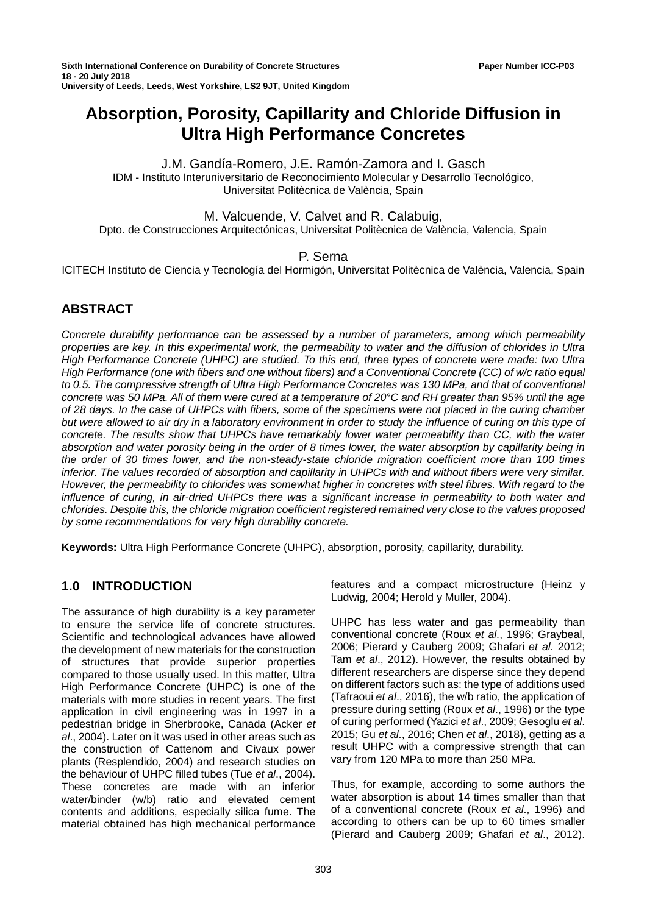# **Absorption, Porosity, Capillarity and Chloride Diffusion in Ultra High Performance Concretes**

### J.M. Gandía-Romero, J.E. Ramón-Zamora and I. Gasch IDM - Instituto Interuniversitario de Reconocimiento Molecular y Desarrollo Tecnológico, Universitat Politècnica de València, Spain

# M. Valcuende, V. Calvet and R. Calabuig,

Dpto. de Construcciones Arquitectónicas, Universitat Politècnica de València, Valencia, Spain

# P. Serna

ICITECH Instituto de Ciencia y Tecnología del Hormigón, Universitat Politècnica de València, Valencia, Spain

# **ABSTRACT**

*Concrete durability performance can be assessed by a number of parameters, among which permeability properties are key. In this experimental work, the permeability to water and the diffusion of chlorides in Ultra High Performance Concrete (UHPC) are studied. To this end, three types of concrete were made: two Ultra High Performance (one with fibers and one without fibers) and a Conventional Concrete (CC) of w/c ratio equal to 0.5. The compressive strength of Ultra High Performance Concretes was 130 MPa, and that of conventional concrete was 50 MPa. All of them were cured at a temperature of 20°C and RH greater than 95% until the age of 28 days. In the case of UHPCs with fibers, some of the specimens were not placed in the curing chamber but were allowed to air dry in a laboratory environment in order to study the influence of curing on this type of concrete. The results show that UHPCs have remarkably lower water permeability than CC, with the water absorption and water porosity being in the order of 8 times lower, the water absorption by capillarity being in the order of 30 times lower, and the non-steady-state chloride migration coefficient more than 100 times inferior. The values recorded of absorption and capillarity in UHPCs with and without fibers were very similar. However, the permeability to chlorides was somewhat higher in concretes with steel fibres. With regard to the influence of curing, in air-dried UHPCs there was a significant increase in permeability to both water and chlorides. Despite this, the chloride migration coefficient registered remained very close to the values proposed by some recommendations for very high durability concrete.*

**Keywords:** Ultra High Performance Concrete (UHPC), absorption, porosity, capillarity, durability.

# **1.0 INTRODUCTION**

The assurance of high durability is a key parameter to ensure the service life of concrete structures. Scientific and technological advances have allowed the development of new materials for the construction of structures that provide superior properties compared to those usually used. In this matter, Ultra High Performance Concrete (UHPC) is one of the materials with more studies in recent years. The first application in civil engineering was in 1997 in a pedestrian bridge in Sherbrooke, Canada (Acker *et al*., 2004). Later on it was used in other areas such as the construction of Cattenom and Civaux power plants (Resplendido, 2004) and research studies on the behaviour of UHPC filled tubes (Tue *et al*., 2004). These concretes are made with an inferior water/binder (w/b) ratio and elevated cement contents and additions, especially silica fume. The material obtained has high mechanical performance

features and a compact microstructure (Heinz y Ludwig, 2004; Herold y Muller, 2004).

UHPC has less water and gas permeability than conventional concrete (Roux *et al*., 1996; Graybeal, 2006; Pierard y Cauberg 2009; Ghafari *et al*. 2012; Tam *et al*., 2012). However, the results obtained by different researchers are disperse since they depend on different factors such as: the type of additions used (Tafraoui *et al*., 2016), the w/b ratio, the application of pressure during setting (Roux *et al*., 1996) or the type of curing performed (Yazici *et al*., 2009; Gesoglu *et al*. 2015; Gu *et al*., 2016; Chen *et al*., 2018), getting as a result UHPC with a compressive strength that can vary from 120 MPa to more than 250 MPa.

Thus, for example, according to some authors the water absorption is about 14 times smaller than that of a conventional concrete (Roux *et al*., 1996) and according to others can be up to 60 times smaller (Pierard and Cauberg 2009; Ghafari *et al*., 2012).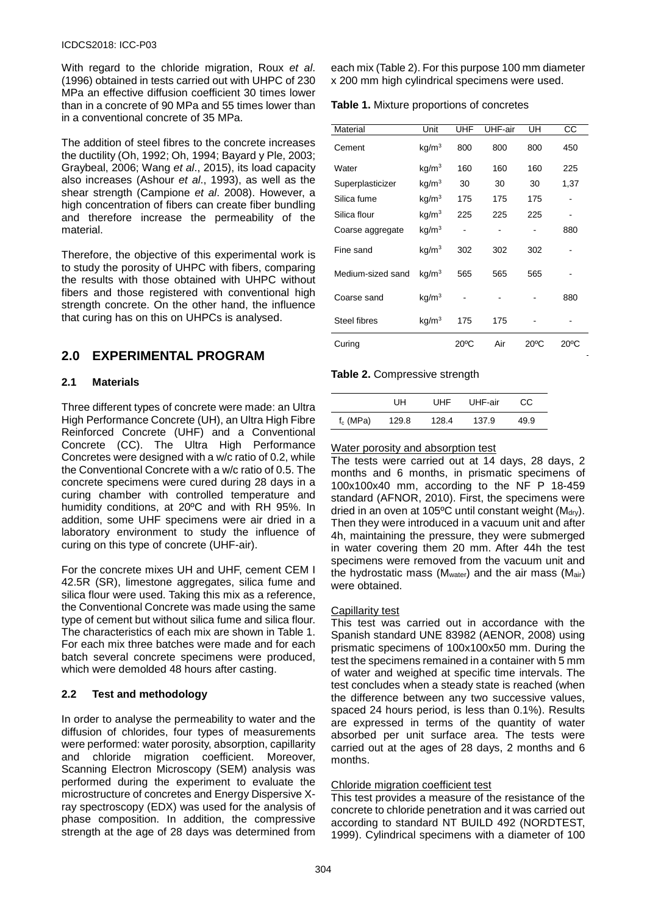With regard to the chloride migration, Roux *et al*. (1996) obtained in tests carried out with UHPC of 230 MPa an effective diffusion coefficient 30 times lower than in a concrete of 90 MPa and 55 times lower than in a conventional concrete of 35 MPa.

The addition of steel fibres to the concrete increases the ductility (Oh, 1992; Oh, 1994; Bayard y Ple, 2003; Graybeal, 2006; Wang *et al*., 2015), its load capacity also increases (Ashour *et al*., 1993), as well as the shear strength (Campione *et al*. 2008). However, a high concentration of fibers can create fiber bundling and therefore increase the permeability of the material.

Therefore, the objective of this experimental work is to study the porosity of UHPC with fibers, comparing the results with those obtained with UHPC without fibers and those registered with conventional high strength concrete. On the other hand, the influence that curing has on this on UHPCs is analysed.

# **2.0 EXPERIMENTAL PROGRAM**

# **2.1 Materials**

Three different types of concrete were made: an Ultra High Performance Concrete (UH), an Ultra High Fibre Reinforced Concrete (UHF) and a Conventional Concrete (CC). The Ultra High Performance Concretes were designed with a w/c ratio of 0.2, while the Conventional Concrete with a w/c ratio of 0.5. The concrete specimens were cured during 28 days in a curing chamber with controlled temperature and humidity conditions, at 20ºC and with RH 95%. In addition, some UHF specimens were air dried in a laboratory environment to study the influence of curing on this type of concrete (UHF-air).

For the concrete mixes UH and UHF, cement CEM I 42.5R (SR), limestone aggregates, silica fume and silica flour were used. Taking this mix as a reference, the Conventional Concrete was made using the same type of cement but without silica fume and silica flour. The characteristics of each mix are shown in Table 1. For each mix three batches were made and for each batch several concrete specimens were produced, which were demolded 48 hours after casting.

# **2.2 Test and methodology**

In order to analyse the permeability to water and the diffusion of chlorides, four types of measurements were performed: water porosity, absorption, capillarity and chloride migration coefficient. Moreover, Scanning Electron Microscopy (SEM) analysis was performed during the experiment to evaluate the microstructure of concretes and Energy Dispersive Xray spectroscopy (EDX) was used for the analysis of phase composition. In addition, the compressive strength at the age of 28 days was determined from

each mix (Table 2). For this purpose 100 mm diameter x 200 mm high cylindrical specimens were used.

**Table 1.** Mixture proportions of concretes

| Material          | Unit              | <b>UHF</b>     | UHF-air | UH             | CС             |
|-------------------|-------------------|----------------|---------|----------------|----------------|
| Cement            | kg/m <sup>3</sup> | 800            | 800     | 800            | 450            |
| Water             | kg/m <sup>3</sup> | 160            | 160     | 160            | 225            |
| Superplasticizer  | kg/m <sup>3</sup> | 30             | 30      | 30             | 1,37           |
| Silica fume       | kg/m <sup>3</sup> | 175            | 175     | 175            |                |
| Silica flour      | kg/m <sup>3</sup> | 225            | 225     | 225            |                |
| Coarse aggregate  | kg/m <sup>3</sup> |                |         |                | 880            |
| Fine sand         | $\text{kg/m}^3$   | 302            | 302     | 302            |                |
| Medium-sized sand | kg/m <sup>3</sup> | 565            | 565     | 565            |                |
| Coarse sand       | kg/m <sup>3</sup> |                |         |                | 880            |
| Steel fibres      | kg/m <sup>3</sup> | 175            | 175     |                |                |
| Curing            |                   | $20^{\circ}$ C | Air     | $20^{\circ}$ C | $20^{\circ}$ C |

# **Table 2.** Compressive strength

|             | UН    | UHF   | UHF-air | CС   |
|-------------|-------|-------|---------|------|
| $f_c$ (MPa) | 129.8 | 128.4 | 137.9   | 49.9 |

#### Water porosity and absorption test

The tests were carried out at 14 days, 28 days, 2 months and 6 months, in prismatic specimens of 100x100x40 mm, according to the NF P 18-459 standard (AFNOR, 2010). First, the specimens were dried in an oven at 105 $^{\circ}$ C until constant weight (M<sub>dry</sub>). Then they were introduced in a vacuum unit and after 4h, maintaining the pressure, they were submerged in water covering them 20 mm. After 44h the test specimens were removed from the vacuum unit and the hydrostatic mass ( $M<sub>water</sub>$ ) and the air mass ( $M<sub>air</sub>$ ) were obtained.

# **Capillarity test**

This test was carried out in accordance with the Spanish standard UNE 83982 (AENOR, 2008) using prismatic specimens of 100x100x50 mm. During the test the specimens remained in a container with 5 mm of water and weighed at specific time intervals. The test concludes when a steady state is reached (when the difference between any two successive values, spaced 24 hours period, is less than 0.1%). Results are expressed in terms of the quantity of water absorbed per unit surface area. The tests were carried out at the ages of 28 days, 2 months and 6 months.

#### Chloride migration coefficient test

This test provides a measure of the resistance of the concrete to chloride penetration and it was carried out according to standard NT BUILD 492 (NORDTEST, 1999). Cylindrical specimens with a diameter of 100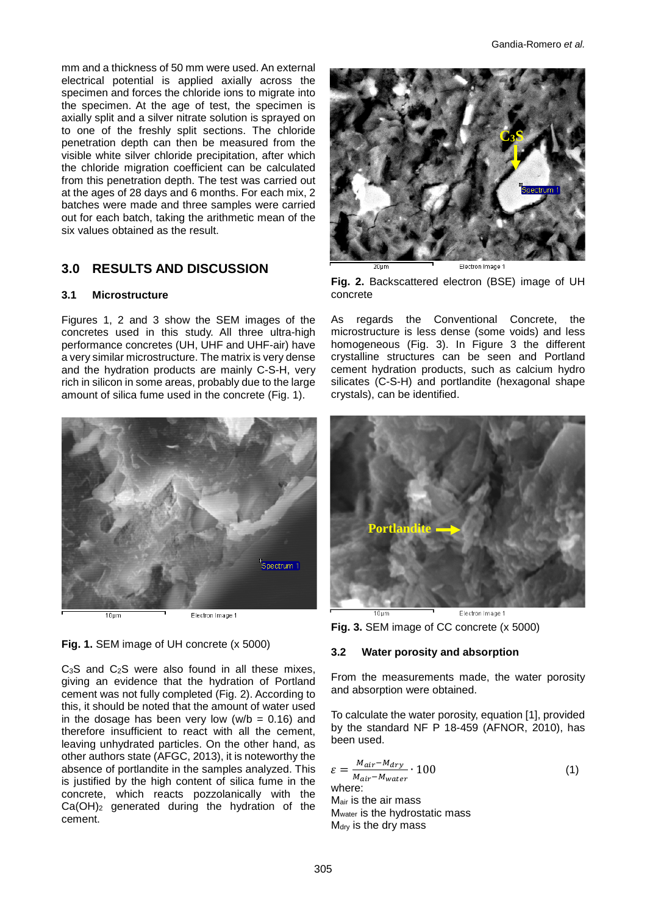mm and a thickness of 50 mm were used. An external electrical potential is applied axially across the specimen and forces the chloride ions to migrate into the specimen. At the age of test, the specimen is axially split and a silver nitrate solution is sprayed on to one of the freshly split sections. The chloride penetration depth can then be measured from the visible white silver chloride precipitation, after which the chloride migration coefficient can be calculated from this penetration depth. The test was carried out at the ages of 28 days and 6 months. For each mix, 2 batches were made and three samples were carried out for each batch, taking the arithmetic mean of the six values obtained as the result.

# **3.0 RESULTS AND DISCUSSION**

#### **3.1 Microstructure**

Figures 1, 2 and 3 show the SEM images of the concretes used in this study. All three ultra-high performance concretes (UH, UHF and UHF-air) have a very similar microstructure. The matrix is very dense and the hydration products are mainly C-S-H, very rich in silicon in some areas, probably due to the large amount of silica fume used in the concrete (Fig. 1).



#### **Fig. 1.** SEM image of UH concrete (x 5000)

C<sub>3</sub>S and C<sub>2</sub>S were also found in all these mixes, giving an evidence that the hydration of Portland cement was not fully completed (Fig. 2). According to this, it should be noted that the amount of water used in the dosage has been very low ( $w/b = 0.16$ ) and therefore insufficient to react with all the cement, leaving unhydrated particles. On the other hand, as other authors state (AFGC, 2013), it is noteworthy the absence of portlandite in the samples analyzed. This is justified by the high content of silica fume in the concrete, which reacts pozzolanically with the Ca(OH)2 generated during the hydration of the cement.



**Fig. 2.** Backscattered electron (BSE) image of UH concrete

As regards the Conventional Concrete, the microstructure is less dense (some voids) and less homogeneous (Fig. 3). In Figure 3 the different crystalline structures can be seen and Portland cement hydration products, such as calcium hydro silicates (C-S-H) and portlandite (hexagonal shape crystals), can be identified.



**Fig. 3.** SEM image of CC concrete (x 5000)

#### **3.2 Water porosity and absorption**

From the measurements made, the water porosity and absorption were obtained.

To calculate the water porosity, equation [1], provided by the standard NF P 18-459 (AFNOR, 2010), has been used.

$$
\varepsilon = \frac{M_{air} - M_{dry}}{M_{air} - M_{water}} \cdot 100
$$
\nwhere:  
\n
$$
M_{air}
$$
 is the air mass  
\n
$$
M_{water}
$$
 is the hydrostatic mass  
\n
$$
M_{dry}
$$
 is the dry mass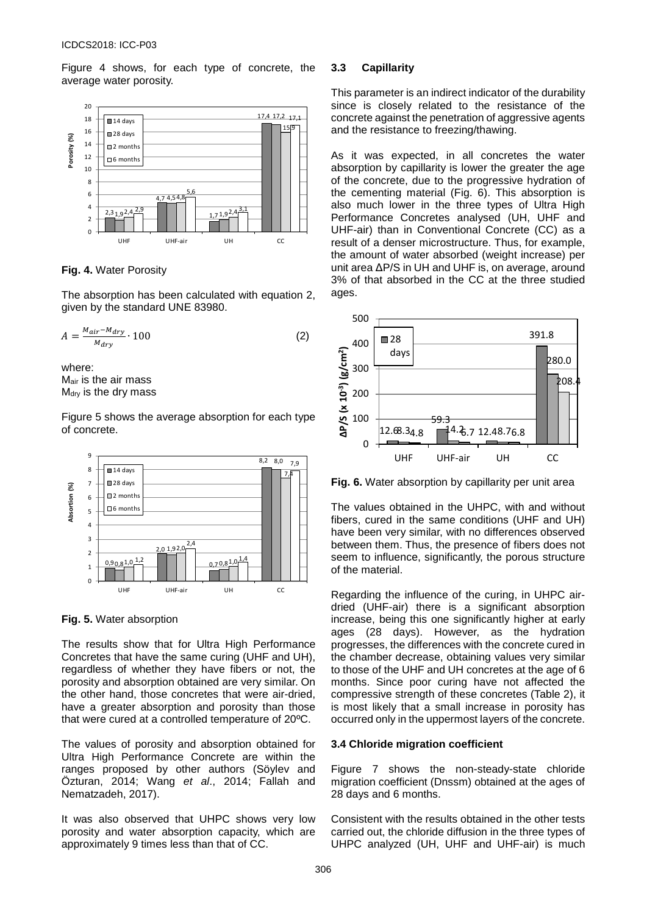Figure 4 shows, for each type of concrete, the average water porosity.



**Fig. 4.** Water Porosity

The absorption has been calculated with equation 2, given by the standard UNE 83980.

$$
A = \frac{M_{air} - M_{dry}}{M_{dry}} \cdot 100
$$
 (2)

where: Mair is the air mass  $M<sub>dry</sub>$  is the dry mass

Figure 5 shows the average absorption for each type of concrete.



**Fig. 5.** Water absorption

The results show that for Ultra High Performance Concretes that have the same curing (UHF and UH), regardless of whether they have fibers or not, the porosity and absorption obtained are very similar. On the other hand, those concretes that were air-dried, have a greater absorption and porosity than those that were cured at a controlled temperature of 20ºC.

The values of porosity and absorption obtained for Ultra High Performance Concrete are within the ranges proposed by other authors (Söylev and Özturan, 2014; Wang *et al*., 2014; Fallah and Nematzadeh, 2017).

It was also observed that UHPC shows very low porosity and water absorption capacity, which are approximately 9 times less than that of CC.

### **3.3 Capillarity**

This parameter is an indirect indicator of the durability since is closely related to the resistance of the concrete against the penetration of aggressive agents and the resistance to freezing/thawing.

As it was expected, in all concretes the water absorption by capillarity is lower the greater the age of the concrete, due to the progressive hydration of the cementing material (Fig. 6). This absorption is also much lower in the three types of Ultra High Performance Concretes analysed (UH, UHF and UHF-air) than in Conventional Concrete (CC) as a result of a denser microstructure. Thus, for example, the amount of water absorbed (weight increase) per unit area ΔP/S in UH and UHF is, on average, around 3% of that absorbed in the CC at the three studied ages.



**Fig. 6.** Water absorption by capillarity per unit area

The values obtained in the UHPC, with and without fibers, cured in the same conditions (UHF and UH) have been very similar, with no differences observed between them. Thus, the presence of fibers does not seem to influence, significantly, the porous structure of the material.

Regarding the influence of the curing, in UHPC airdried (UHF-air) there is a significant absorption increase, being this one significantly higher at early ages (28 days). However, as the hydration progresses, the differences with the concrete cured in the chamber decrease, obtaining values very similar to those of the UHF and UH concretes at the age of 6 months. Since poor curing have not affected the compressive strength of these concretes (Table 2), it is most likely that a small increase in porosity has occurred only in the uppermost layers of the concrete.

# **3.4 Chloride migration coefficient**

Figure 7 shows the non-steady-state chloride migration coefficient (Dnssm) obtained at the ages of 28 days and 6 months.

Consistent with the results obtained in the other tests carried out, the chloride diffusion in the three types of UHPC analyzed (UH, UHF and UHF-air) is much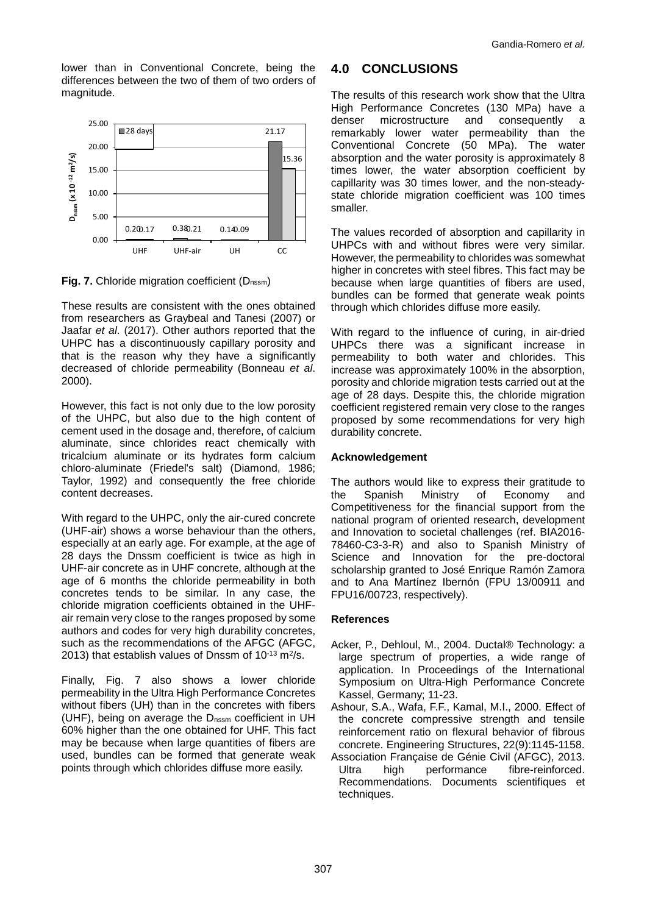lower than in Conventional Concrete, being the differences between the two of them of two orders of magnitude.



**Fig. 7.** Chloride migration coefficient (D<sub>nssm</sub>)

These results are consistent with the ones obtained from researchers as Graybeal and Tanesi (2007) or Jaafar *et al*. (2017). Other authors reported that the UHPC has a discontinuously capillary porosity and that is the reason why they have a significantly decreased of chloride permeability (Bonneau *et al*. 2000).

However, this fact is not only due to the low porosity of the UHPC, but also due to the high content of cement used in the dosage and, therefore, of calcium aluminate, since chlorides react chemically with tricalcium aluminate or its hydrates form calcium chloro-aluminate (Friedel's salt) (Diamond, 1986; Taylor, 1992) and consequently the free chloride content decreases.

With regard to the UHPC, only the air-cured concrete (UHF-air) shows a worse behaviour than the others, especially at an early age. For example, at the age of 28 days the Dnssm coefficient is twice as high in UHF-air concrete as in UHF concrete, although at the age of 6 months the chloride permeability in both concretes tends to be similar. In any case, the chloride migration coefficients obtained in the UHFair remain very close to the ranges proposed by some authors and codes for very high durability concretes, such as the recommendations of the AFGC (AFGC, 2013) that establish values of Dnssm of  $10^{-13}$  m<sup>2</sup>/s.

Finally, Fig. 7 also shows a lower chloride permeability in the Ultra High Performance Concretes without fibers (UH) than in the concretes with fibers (UHF), being on average the D<sub>nssm</sub> coefficient in UH 60% higher than the one obtained for UHF. This fact may be because when large quantities of fibers are used, bundles can be formed that generate weak points through which chlorides diffuse more easily.

# **4.0 CONCLUSIONS**

The results of this research work show that the Ultra High Performance Concretes (130 MPa) have a denser microstructure and consequently a denser microstructure and consequently a remarkably lower water permeability than the Conventional Concrete (50 MPa). The water absorption and the water porosity is approximately 8 times lower, the water absorption coefficient by capillarity was 30 times lower, and the non-steadystate chloride migration coefficient was 100 times smaller.

The values recorded of absorption and capillarity in UHPCs with and without fibres were very similar. However, the permeability to chlorides was somewhat higher in concretes with steel fibres. This fact may be because when large quantities of fibers are used, bundles can be formed that generate weak points through which chlorides diffuse more easily.

With regard to the influence of curing, in air-dried UHPCs there was a significant increase in permeability to both water and chlorides. This increase was approximately 100% in the absorption, porosity and chloride migration tests carried out at the age of 28 days. Despite this, the chloride migration coefficient registered remain very close to the ranges proposed by some recommendations for very high durability concrete.

# **Acknowledgement**

The authors would like to express their gratitude to<br>the Spanish Ministry of Economy and Economy and Competitiveness for the financial support from the national program of oriented research, development and Innovation to societal challenges (ref. BIA2016- 78460-C3-3-R) and also to Spanish Ministry of Science and Innovation for the pre-doctoral scholarship granted to José Enrique Ramón Zamora and to Ana Martínez Ibernón (FPU 13/00911 and FPU16/00723, respectively).

# **References**

- Acker, P., Dehloul, M., 2004. Ductal® Technology: a large spectrum of properties, a wide range of application. In Proceedings of the International Symposium on Ultra-High Performance Concrete Kassel, Germany; 11-23.
- Ashour, S.A., Wafa, F.F., Kamal, M.I., 2000. Effect of the concrete compressive strength and tensile reinforcement ratio on flexural behavior of fibrous concrete. Engineering Structures, 22(9):1145-1158.
- Association Française de Génie Civil (AFGC), 2013.<br>Ultra high performance fibre-reinforced. Ultra high performance fibre-reinforced. Recommendations. Documents scientifiques et techniques.